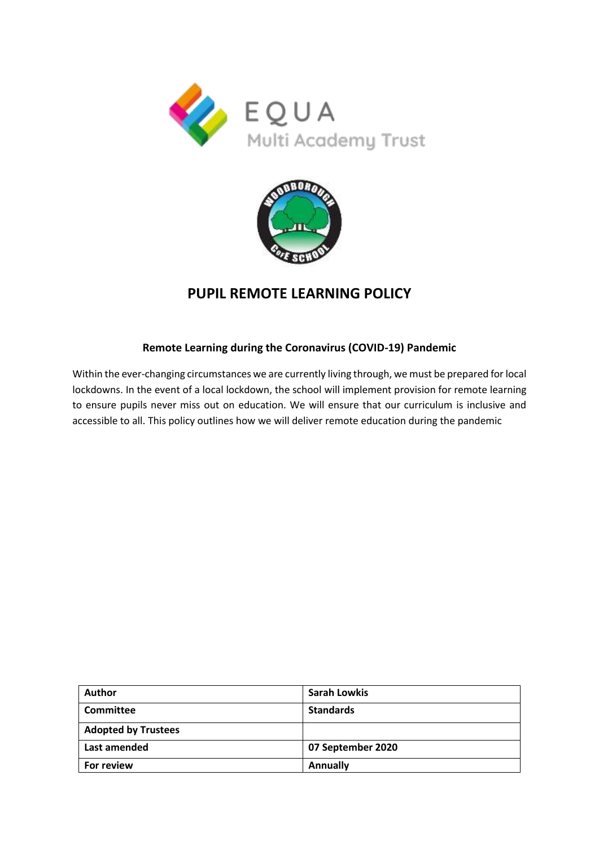



# **PUPIL REMOTE LEARNING POLICY**

## **Remote Learning during the Coronavirus (COVID-19) Pandemic**

Within the ever-changing circumstances we are currently living through, we must be prepared for local lockdowns. In the event of a local lockdown, the school will implement provision for remote learning to ensure pupils never miss out on education. We will ensure that our curriculum is inclusive and accessible to all. This policy outlines how we will deliver remote education during the pandemic

| Author                     | <b>Sarah Lowkis</b> |
|----------------------------|---------------------|
| <b>Committee</b>           | <b>Standards</b>    |
| <b>Adopted by Trustees</b> |                     |
| Last amended               | 07 September 2020   |
| For review                 | <b>Annually</b>     |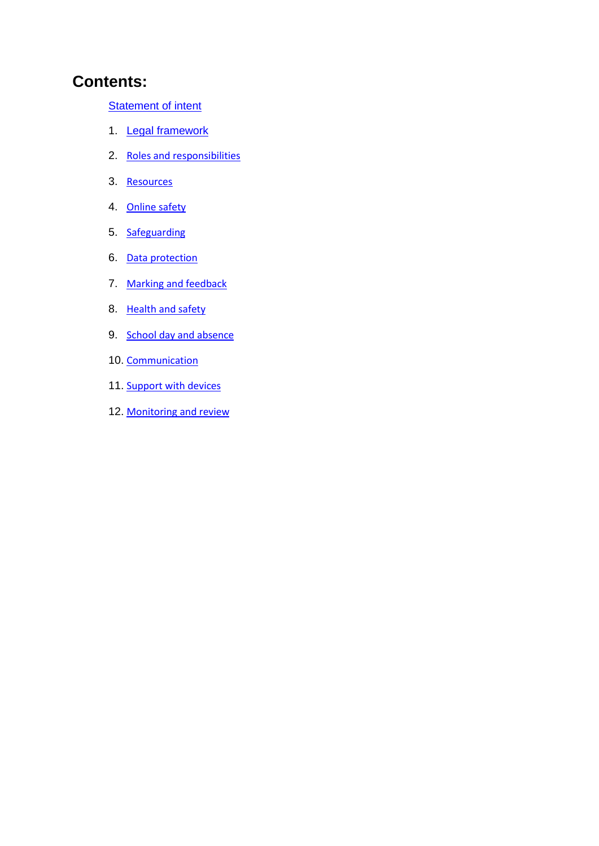# **Contents:**

[Statement of intent](#page-2-0)

- 1. [Legal framework](#page-3-0)
- 2. [Roles and responsibilities](#page-4-0)
- 3. [Resources](#page-7-0)
- 4. [Online safety](#page-8-0)
- 5. [Safeguarding](#page-10-0)
- 6. [Data protection](#page-11-0)
- 7. [Marking and feedback](#page-11-1)
- 8. [Health and safety](#page-12-0)
- 9. [School day and absence](#page-12-1)
- 10. [Communication](#page-13-0)
- 11. Support with devices
- 12. [Monitoring and review](#page-14-0)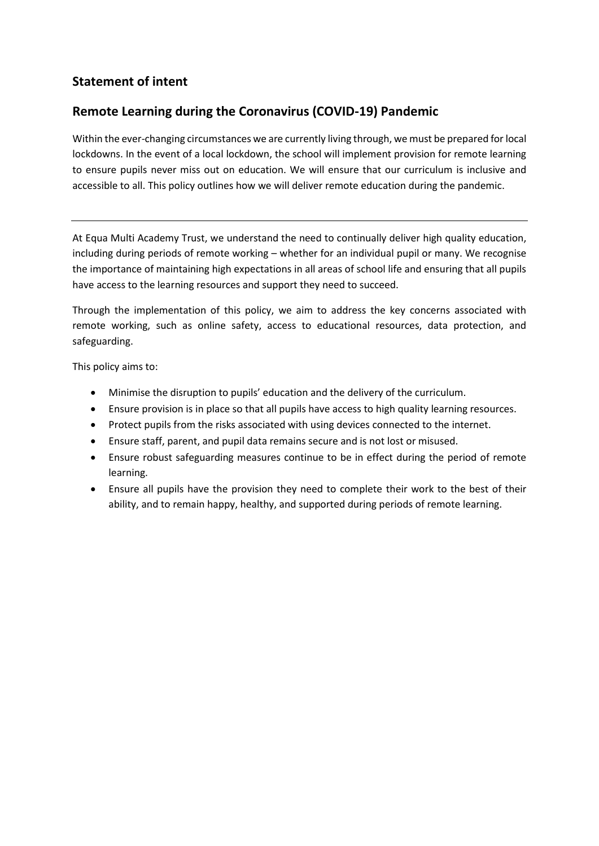# <span id="page-2-0"></span>**Statement of intent**

# **Remote Learning during the Coronavirus (COVID-19) Pandemic**

Within the ever-changing circumstances we are currently living through, we must be prepared for local lockdowns. In the event of a local lockdown, the school will implement provision for remote learning to ensure pupils never miss out on education. We will ensure that our curriculum is inclusive and accessible to all. This policy outlines how we will deliver remote education during the pandemic.

At Equa Multi Academy Trust, we understand the need to continually deliver high quality education, including during periods of remote working – whether for an individual pupil or many. We recognise the importance of maintaining high expectations in all areas of school life and ensuring that all pupils have access to the learning resources and support they need to succeed.

Through the implementation of this policy, we aim to address the key concerns associated with remote working, such as online safety, access to educational resources, data protection, and safeguarding.

This policy aims to:

- Minimise the disruption to pupils' education and the delivery of the curriculum.
- Ensure provision is in place so that all pupils have access to high quality learning resources.
- Protect pupils from the risks associated with using devices connected to the internet.
- Ensure staff, parent, and pupil data remains secure and is not lost or misused.
- Ensure robust safeguarding measures continue to be in effect during the period of remote learning.
- Ensure all pupils have the provision they need to complete their work to the best of their ability, and to remain happy, healthy, and supported during periods of remote learning.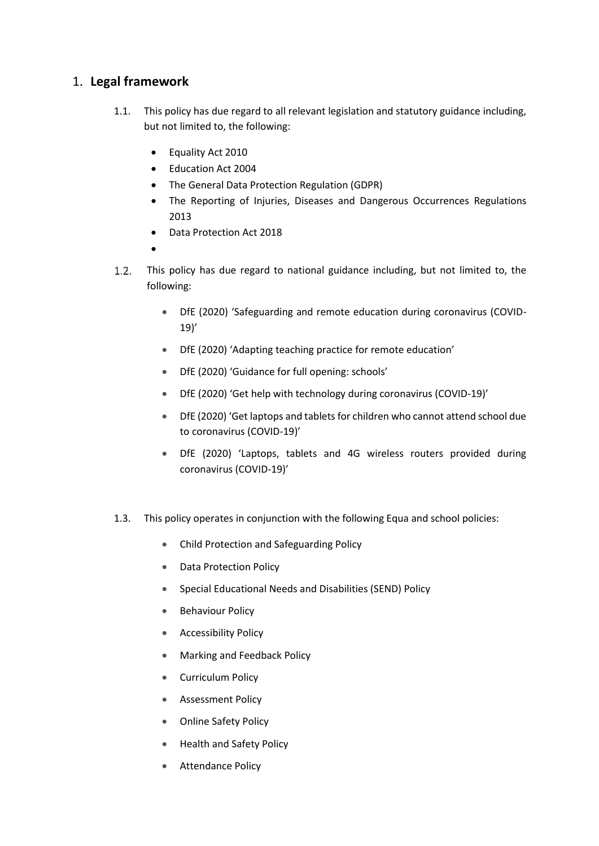# <span id="page-3-0"></span>1. **Legal framework**

- 1.1. This policy has due regard to all relevant legislation and statutory guidance including, but not limited to, the following:
	- Equality Act 2010
	- Education Act 2004
	- The General Data Protection Regulation (GDPR)
	- The Reporting of Injuries, Diseases and Dangerous Occurrences Regulations 2013
	- Data Protection Act 2018
	- $\bullet$
- $1.2.$ This policy has due regard to national guidance including, but not limited to, the following:
	- DfE (2020) 'Safeguarding and remote education during coronavirus (COVID-19)'
	- DfE (2020) 'Adapting teaching practice for remote education'
	- DfE (2020) 'Guidance for full opening: schools'
	- DfE (2020) 'Get help with technology during coronavirus (COVID-19)'
	- DfE (2020) 'Get laptops and tablets for children who cannot attend school due to coronavirus (COVID-19)'
	- DfE (2020) 'Laptops, tablets and 4G wireless routers provided during coronavirus (COVID-19)'
- 1.3. This policy operates in conjunction with the following Equa and school policies:
	- Child Protection and Safeguarding Policy
	- Data Protection Policy
	- Special Educational Needs and Disabilities (SEND) Policy
	- **•** Behaviour Policy
	- **•** Accessibility Policy
	- **Marking and Feedback Policy**
	- Curriculum Policy
	- **Assessment Policy**
	- Online Safety Policy
	- Health and Safety Policy
	- **•** Attendance Policy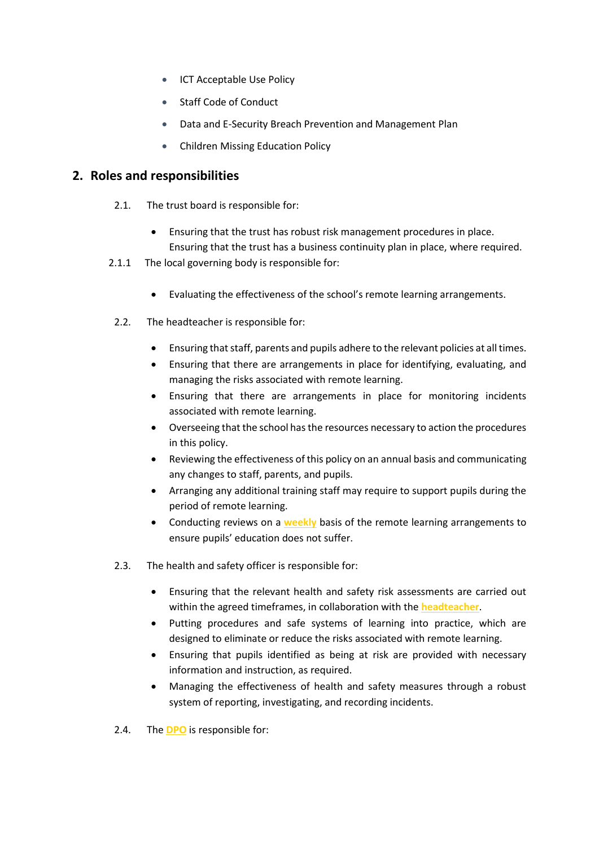- **ICT Acceptable Use Policy**
- Staff Code of Conduct
- Data and E-Security Breach Prevention and Management Plan
- Children Missing Education Policy

# <span id="page-4-0"></span>**2. Roles and responsibilities**

- 2.1. The trust board is responsible for:
	- Ensuring that the trust has robust risk management procedures in place. Ensuring that the trust has a business continuity plan in place, where required.
- 2.1.1 The local governing body is responsible for:
	- Evaluating the effectiveness of the school's remote learning arrangements.
- 2.2. The headteacher is responsible for:
	- Ensuring that staff, parents and pupils adhere to the relevant policies at all times.
	- Ensuring that there are arrangements in place for identifying, evaluating, and managing the risks associated with remote learning.
	- Ensuring that there are arrangements in place for monitoring incidents associated with remote learning.
	- Overseeing that the school has the resources necessary to action the procedures in this policy.
	- Reviewing the effectiveness of this policy on an annual basis and communicating any changes to staff, parents, and pupils.
	- Arranging any additional training staff may require to support pupils during the period of remote learning.
	- Conducting reviews on a **weekly** basis of the remote learning arrangements to ensure pupils' education does not suffer.
- 2.3. The health and safety officer is responsible for:
	- Ensuring that the relevant health and safety risk assessments are carried out within the agreed timeframes, in collaboration with the **headteacher**.
	- Putting procedures and safe systems of learning into practice, which are designed to eliminate or reduce the risks associated with remote learning.
	- Ensuring that pupils identified as being at risk are provided with necessary information and instruction, as required.
	- Managing the effectiveness of health and safety measures through a robust system of reporting, investigating, and recording incidents.
- 2.4. The **DPO** is responsible for: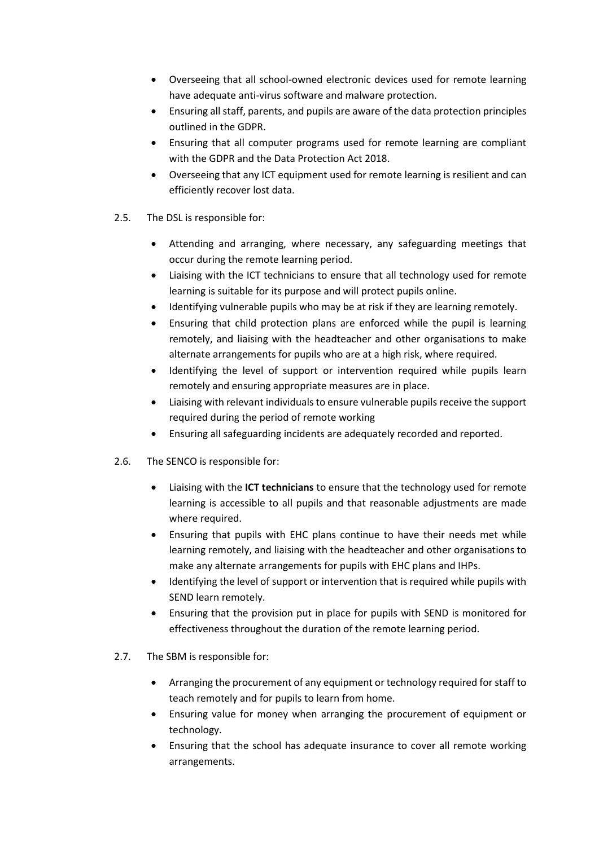- Overseeing that all school-owned electronic devices used for remote learning have adequate anti-virus software and malware protection.
- Ensuring all staff, parents, and pupils are aware of the data protection principles outlined in the GDPR.
- Ensuring that all computer programs used for remote learning are compliant with the GDPR and the Data Protection Act 2018.
- Overseeing that any ICT equipment used for remote learning is resilient and can efficiently recover lost data.
- 2.5. The DSL is responsible for:
	- Attending and arranging, where necessary, any safeguarding meetings that occur during the remote learning period.
	- Liaising with the ICT technicians to ensure that all technology used for remote learning is suitable for its purpose and will protect pupils online.
	- Identifying vulnerable pupils who may be at risk if they are learning remotely.
	- Ensuring that child protection plans are enforced while the pupil is learning remotely, and liaising with the headteacher and other organisations to make alternate arrangements for pupils who are at a high risk, where required.
	- Identifying the level of support or intervention required while pupils learn remotely and ensuring appropriate measures are in place.
	- Liaising with relevant individuals to ensure vulnerable pupils receive the support required during the period of remote working
	- Ensuring all safeguarding incidents are adequately recorded and reported.
- 2.6. The SENCO is responsible for:
	- Liaising with the **ICT technicians** to ensure that the technology used for remote learning is accessible to all pupils and that reasonable adjustments are made where required.
	- Ensuring that pupils with EHC plans continue to have their needs met while learning remotely, and liaising with the headteacher and other organisations to make any alternate arrangements for pupils with EHC plans and IHPs.
	- Identifying the level of support or intervention that is required while pupils with SEND learn remotely.
	- Ensuring that the provision put in place for pupils with SEND is monitored for effectiveness throughout the duration of the remote learning period.
- 2.7. The SBM is responsible for:
	- Arranging the procurement of any equipment or technology required for staff to teach remotely and for pupils to learn from home.
	- Ensuring value for money when arranging the procurement of equipment or technology.
	- Ensuring that the school has adequate insurance to cover all remote working arrangements.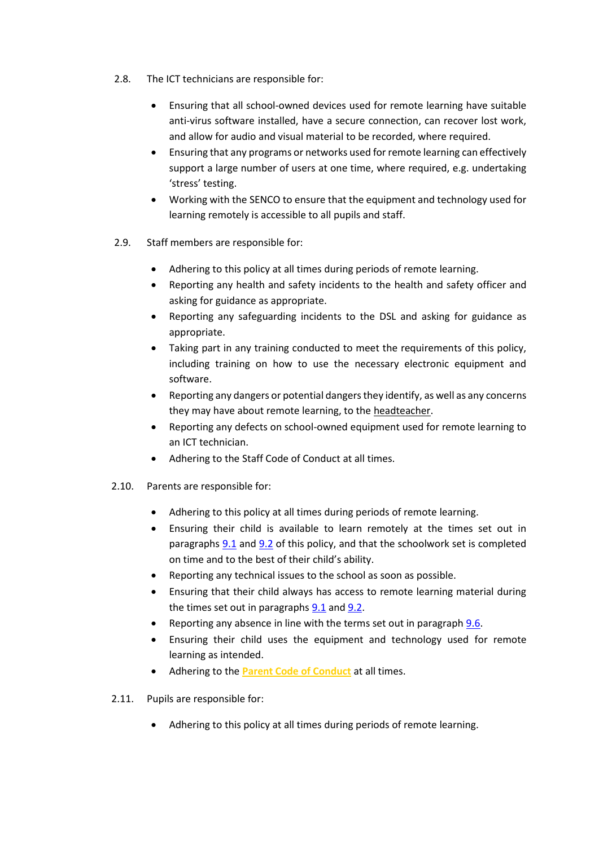- 2.8. The ICT technicians are responsible for:
	- Ensuring that all school-owned devices used for remote learning have suitable anti-virus software installed, have a secure connection, can recover lost work, and allow for audio and visual material to be recorded, where required.
	- Ensuring that any programs or networks used for remote learning can effectively support a large number of users at one time, where required, e.g. undertaking 'stress' testing.
	- Working with the SENCO to ensure that the equipment and technology used for learning remotely is accessible to all pupils and staff.
- 2.9. Staff members are responsible for:
	- Adhering to this policy at all times during periods of remote learning.
	- Reporting any health and safety incidents to the health and safety officer and asking for guidance as appropriate.
	- Reporting any safeguarding incidents to the DSL and asking for guidance as appropriate.
	- Taking part in any training conducted to meet the requirements of this policy, including training on how to use the necessary electronic equipment and software.
	- Reporting any dangers or potential dangers they identify, as well as any concerns they may have about remote learning, to the headteacher.
	- Reporting any defects on school-owned equipment used for remote learning to an ICT technician.
	- Adhering to the Staff Code of Conduct at all times.
- 2.10. Parents are responsible for:
	- Adhering to this policy at all times during periods of remote learning.
	- Ensuring their child is available to learn remotely at the times set out in paragraphs [9.1](#page-13-1) and [9.2](#page-13-2) of this policy, and that the schoolwork set is completed on time and to the best of their child's ability.
	- Reporting any technical issues to the school as soon as possible.
	- Ensuring that their child always has access to remote learning material during the times set out in paragraphs  $9.1$  and  $9.2$ .
	- Reporting any absence in line with the terms set out in paragraph [9.6.](#page-13-3)
	- Ensuring their child uses the equipment and technology used for remote learning as intended.
	- Adhering to the **Parent Code of Conduct** at all times.
- 2.11. Pupils are responsible for:
	- Adhering to this policy at all times during periods of remote learning.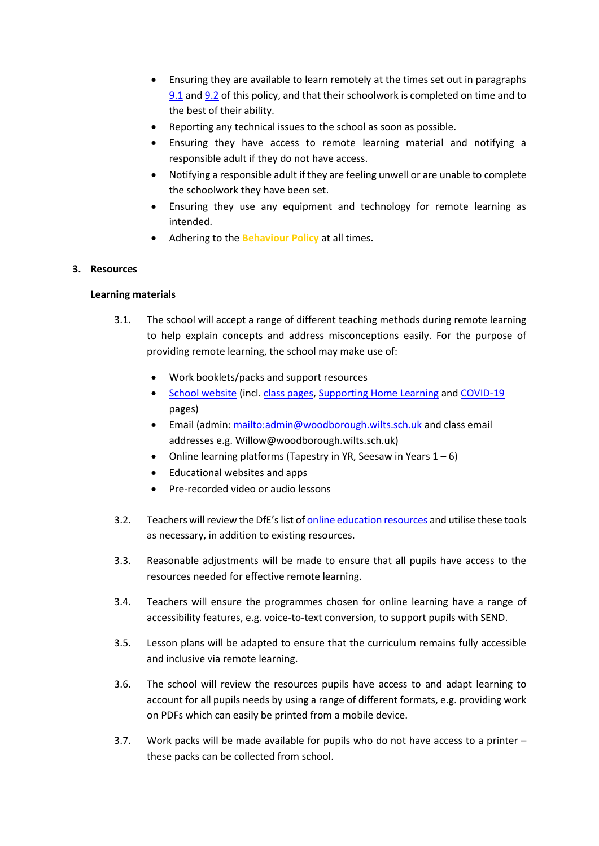- Ensuring they are available to learn remotely at the times set out in paragraphs [9.1](#page-13-1) an[d 9.2](#page-13-2) of this policy, and that their schoolwork is completed on time and to the best of their ability.
- Reporting any technical issues to the school as soon as possible.
- Ensuring they have access to remote learning material and notifying a responsible adult if they do not have access.
- Notifying a responsible adult if they are feeling unwell or are unable to complete the schoolwork they have been set.
- Ensuring they use any equipment and technology for remote learning as intended.
- Adhering to the **Behaviour Policy** at all times.

### <span id="page-7-0"></span>**3. Resources**

### **Learning materials**

- 3.1. The school will accept a range of different teaching methods during remote learning to help explain concepts and address misconceptions easily. For the purpose of providing remote learning, the school may make use of:
	- Work booklets/packs and support resources
	- [School website](https://woodboroughschool.org/) (incl. [class pages,](https://woodboroughschool.org/classes-curriculum/) [Supporting Home Learning](https://woodboroughschool.org/supporting-home-learning/) and [COVID-19](https://woodboroughschool.org/covid-19/) pages)
	- **Email (admin:<mailto:admin@woodborough.wilts.sch.uk> and class email** addresses e.g. Willow@woodborough.wilts.sch.uk)
	- Online learning platforms (Tapestry in YR, Seesaw in Years  $1-6$ )
	- Educational websites and apps
	- Pre-recorded video or audio lessons
- 3.2. Teachers will review the DfE's list of [online education resources](https://www.gov.uk/government/publications/coronavirus-covid-19-online-education-resources) and utilise these tools as necessary, in addition to existing resources.
- 3.3. Reasonable adjustments will be made to ensure that all pupils have access to the resources needed for effective remote learning.
- 3.4. Teachers will ensure the programmes chosen for online learning have a range of accessibility features, e.g. voice-to-text conversion, to support pupils with SEND.
- 3.5. Lesson plans will be adapted to ensure that the curriculum remains fully accessible and inclusive via remote learning.
- 3.6. The school will review the resources pupils have access to and adapt learning to account for all pupils needs by using a range of different formats, e.g. providing work on PDFs which can easily be printed from a mobile device.
- 3.7. Work packs will be made available for pupils who do not have access to a printer these packs can be collected from school.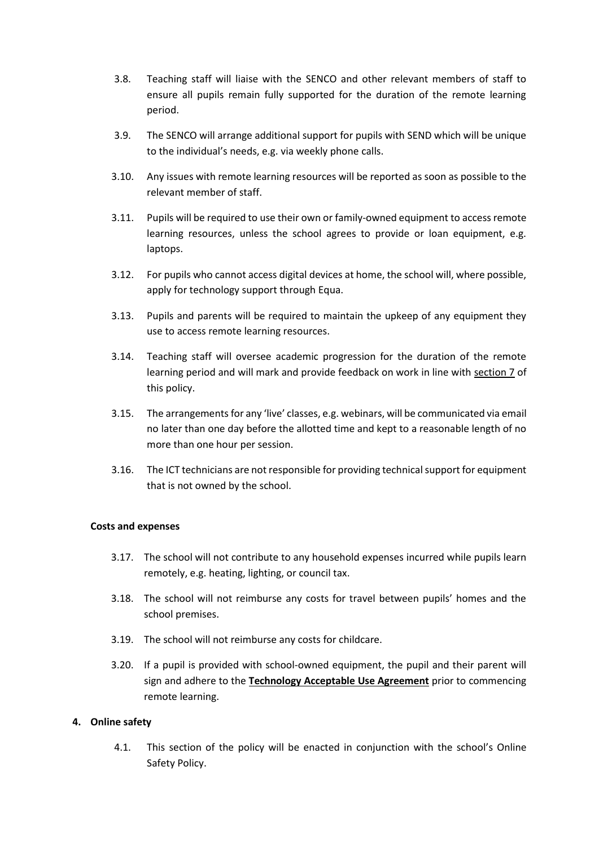- 3.8. Teaching staff will liaise with the SENCO and other relevant members of staff to ensure all pupils remain fully supported for the duration of the remote learning period.
- 3.9. The SENCO will arrange additional support for pupils with SEND which will be unique to the individual's needs, e.g. via weekly phone calls.
- 3.10. Any issues with remote learning resources will be reported as soon as possible to the relevant member of staff.
- 3.11. Pupils will be required to use their own or family-owned equipment to access remote learning resources, unless the school agrees to provide or loan equipment, e.g. laptops.
- 3.12. For pupils who cannot access digital devices at home, the school will, where possible, apply for technology support through Equa.
- 3.13. Pupils and parents will be required to maintain the upkeep of any equipment they use to access remote learning resources.
- 3.14. Teaching staff will oversee academic progression for the duration of the remote learning period and will mark and provide feedback on work in line with [section 7](#page-11-1) of this policy.
- 3.15. The arrangements for any 'live' classes, e.g. webinars, will be communicated via email no later than one day before the allotted time and kept to a reasonable length of no more than one hour per session.
- 3.16. The ICT technicians are not responsible for providing technical support for equipment that is not owned by the school.

#### **Costs and expenses**

- 3.17. The school will not contribute to any household expenses incurred while pupils learn remotely, e.g. heating, lighting, or council tax.
- 3.18. The school will not reimburse any costs for travel between pupils' homes and the school premises.
- 3.19. The school will not reimburse any costs for childcare.
- 3.20. If a pupil is provided with school-owned equipment, the pupil and their parent will sign and adhere to the **Technology Acceptable Use Agreement** prior to commencing remote learning.

#### <span id="page-8-0"></span>**4. Online safety**

4.1. This section of the policy will be enacted in conjunction with the school's Online Safety Policy.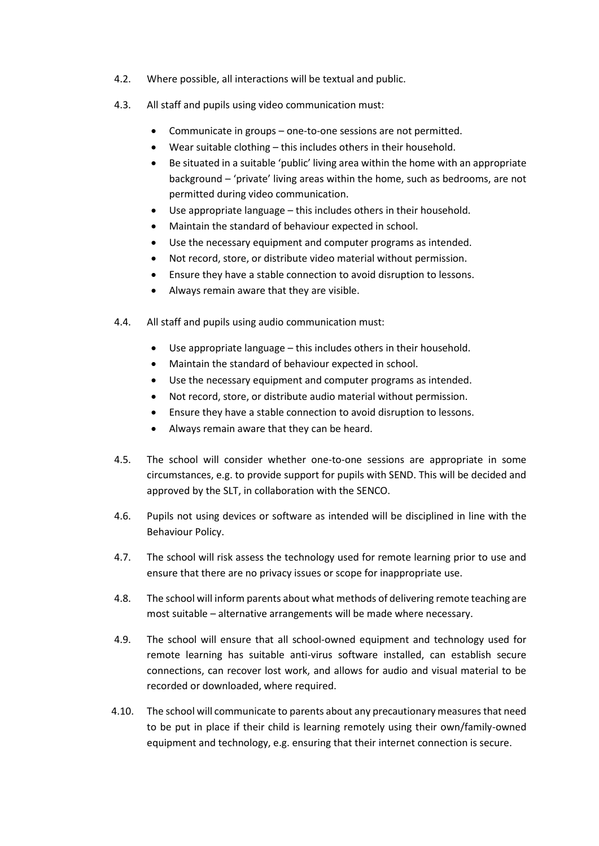- 4.2. Where possible, all interactions will be textual and public.
- 4.3. All staff and pupils using video communication must:
	- Communicate in groups one-to-one sessions are not permitted.
	- Wear suitable clothing this includes others in their household.
	- Be situated in a suitable 'public' living area within the home with an appropriate background – 'private' living areas within the home, such as bedrooms, are not permitted during video communication.
	- Use appropriate language this includes others in their household.
	- Maintain the standard of behaviour expected in school.
	- Use the necessary equipment and computer programs as intended.
	- Not record, store, or distribute video material without permission.
	- Ensure they have a stable connection to avoid disruption to lessons.
	- Always remain aware that they are visible.
- 4.4. All staff and pupils using audio communication must:
	- Use appropriate language this includes others in their household.
	- Maintain the standard of behaviour expected in school.
	- Use the necessary equipment and computer programs as intended.
	- Not record, store, or distribute audio material without permission.
	- Ensure they have a stable connection to avoid disruption to lessons.
	- Always remain aware that they can be heard.
- 4.5. The school will consider whether one-to-one sessions are appropriate in some circumstances, e.g. to provide support for pupils with SEND. This will be decided and approved by the SLT, in collaboration with the SENCO.
- 4.6. Pupils not using devices or software as intended will be disciplined in line with the Behaviour Policy.
- 4.7. The school will risk assess the technology used for remote learning prior to use and ensure that there are no privacy issues or scope for inappropriate use.
- 4.8. The school will inform parents about what methods of delivering remote teaching are most suitable – alternative arrangements will be made where necessary.
- 4.9. The school will ensure that all school-owned equipment and technology used for remote learning has suitable anti-virus software installed, can establish secure connections, can recover lost work, and allows for audio and visual material to be recorded or downloaded, where required.
- 4.10. The school will communicate to parents about any precautionary measures that need to be put in place if their child is learning remotely using their own/family-owned equipment and technology, e.g. ensuring that their internet connection is secure.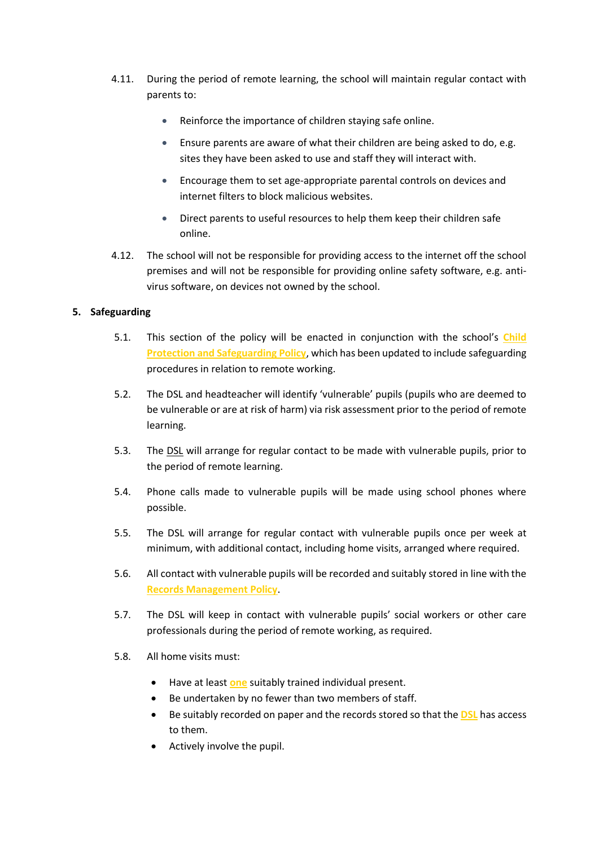- 4.11. During the period of remote learning, the school will maintain regular contact with parents to:
	- Reinforce the importance of children staying safe online.
	- Ensure parents are aware of what their children are being asked to do, e.g. sites they have been asked to use and staff they will interact with.
	- Encourage them to set age-appropriate parental controls on devices and internet filters to block malicious websites.
	- Direct parents to useful resources to help them keep their children safe online.
- 4.12. The school will not be responsible for providing access to the internet off the school premises and will not be responsible for providing online safety software, e.g. antivirus software, on devices not owned by the school.

## <span id="page-10-0"></span>**5. Safeguarding**

- 5.1. This section of the policy will be enacted in conjunction with the school's **Child Protection and Safeguarding Policy**, which has been updated to include safeguarding procedures in relation to remote working.
- 5.2. The DSL and headteacher will identify 'vulnerable' pupils (pupils who are deemed to be vulnerable or are at risk of harm) via risk assessment prior to the period of remote learning.
- 5.3. The DSL will arrange for regular contact to be made with vulnerable pupils, prior to the period of remote learning.
- 5.4. Phone calls made to vulnerable pupils will be made using school phones where possible.
- 5.5. The DSL will arrange for regular contact with vulnerable pupils once per week at minimum, with additional contact, including home visits, arranged where required.
- 5.6. All contact with vulnerable pupils will be recorded and suitably stored in line with the **Records Management Policy**.
- 5.7. The DSL will keep in contact with vulnerable pupils' social workers or other care professionals during the period of remote working, as required.
- 5.8. All home visits must:
	- Have at least **one** suitably trained individual present.
	- Be undertaken by no fewer than two members of staff.
	- Be suitably recorded on paper and the records stored so that the **DSL** has access to them.
	- Actively involve the pupil.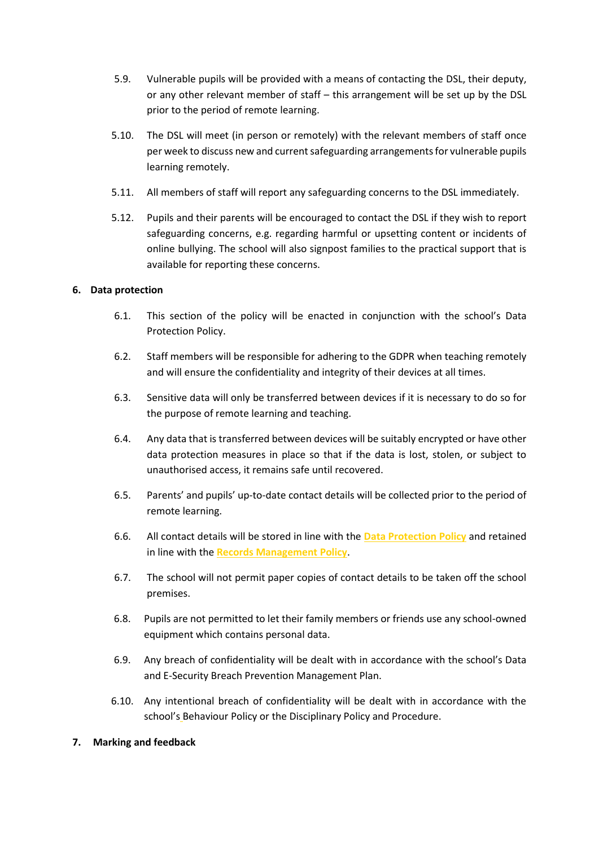- 5.9. Vulnerable pupils will be provided with a means of contacting the DSL, their deputy, or any other relevant member of staff – this arrangement will be set up by the DSL prior to the period of remote learning.
- 5.10. The DSL will meet (in person or remotely) with the relevant members of staff once per week to discuss new and current safeguarding arrangements for vulnerable pupils learning remotely.
- 5.11. All members of staff will report any safeguarding concerns to the DSL immediately.
- 5.12. Pupils and their parents will be encouraged to contact the DSL if they wish to report safeguarding concerns, e.g. regarding harmful or upsetting content or incidents of online bullying. The school will also signpost families to the practical support that is available for reporting these concerns.

### <span id="page-11-0"></span>**6. Data protection**

- 6.1. This section of the policy will be enacted in conjunction with the school's Data Protection Policy.
- 6.2. Staff members will be responsible for adhering to the GDPR when teaching remotely and will ensure the confidentiality and integrity of their devices at all times.
- 6.3. Sensitive data will only be transferred between devices if it is necessary to do so for the purpose of remote learning and teaching.
- 6.4. Any data that is transferred between devices will be suitably encrypted or have other data protection measures in place so that if the data is lost, stolen, or subject to unauthorised access, it remains safe until recovered.
- 6.5. Parents' and pupils' up-to-date contact details will be collected prior to the period of remote learning.
- 6.6. All contact details will be stored in line with the **Data Protection Policy** and retained in line with the **Records Management Policy**.
- 6.7. The school will not permit paper copies of contact details to be taken off the school premises.
- 6.8. Pupils are not permitted to let their family members or friends use any school-owned equipment which contains personal data.
- 6.9. Any breach of confidentiality will be dealt with in accordance with the school's Data and E-Security Breach Prevention Management Plan.
- 6.10. Any intentional breach of confidentiality will be dealt with in accordance with the school's Behaviour Policy or the Disciplinary Policy and Procedure.

#### <span id="page-11-1"></span>**7. Marking and feedback**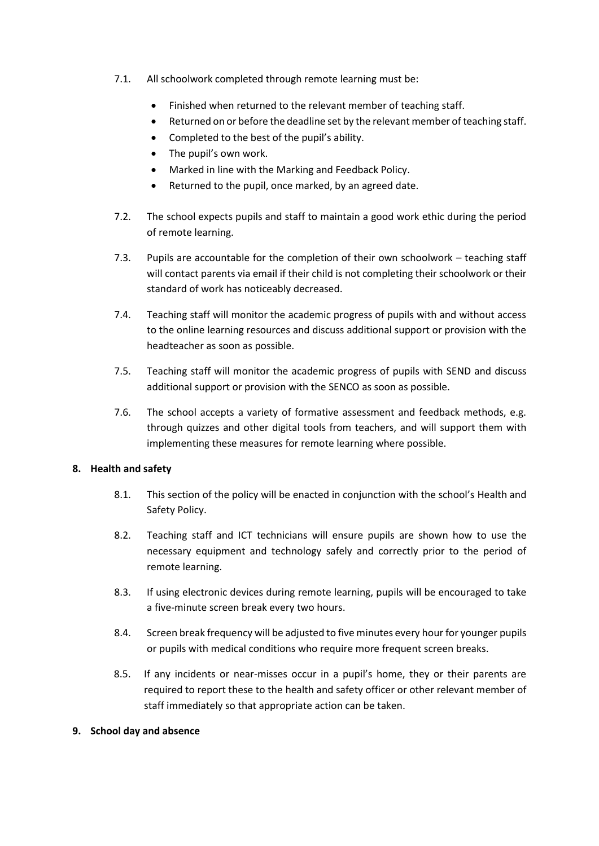- 7.1. All schoolwork completed through remote learning must be:
	- Finished when returned to the relevant member of teaching staff.
	- Returned on or before the deadline set by the relevant member of teaching staff.
	- Completed to the best of the pupil's ability.
	- The pupil's own work.
	- Marked in line with the Marking and Feedback Policy.
	- Returned to the pupil, once marked, by an agreed date.
- 7.2. The school expects pupils and staff to maintain a good work ethic during the period of remote learning.
- 7.3. Pupils are accountable for the completion of their own schoolwork teaching staff will contact parents via email if their child is not completing their schoolwork or their standard of work has noticeably decreased.
- 7.4. Teaching staff will monitor the academic progress of pupils with and without access to the online learning resources and discuss additional support or provision with the headteacher as soon as possible.
- 7.5. Teaching staff will monitor the academic progress of pupils with SEND and discuss additional support or provision with the SENCO as soon as possible.
- 7.6. The school accepts a variety of formative assessment and feedback methods, e.g. through quizzes and other digital tools from teachers, and will support them with implementing these measures for remote learning where possible.

#### <span id="page-12-0"></span>**8. Health and safety**

- 8.1. This section of the policy will be enacted in conjunction with the school's Health and Safety Policy.
- 8.2. Teaching staff and ICT technicians will ensure pupils are shown how to use the necessary equipment and technology safely and correctly prior to the period of remote learning.
- 8.3. If using electronic devices during remote learning, pupils will be encouraged to take a five-minute screen break every two hours.
- 8.4. Screen break frequency will be adjusted to five minutes every hour for younger pupils or pupils with medical conditions who require more frequent screen breaks.
- 8.5. If any incidents or near-misses occur in a pupil's home, they or their parents are required to report these to the health and safety officer or other relevant member of staff immediately so that appropriate action can be taken.

#### <span id="page-12-1"></span>**9. School day and absence**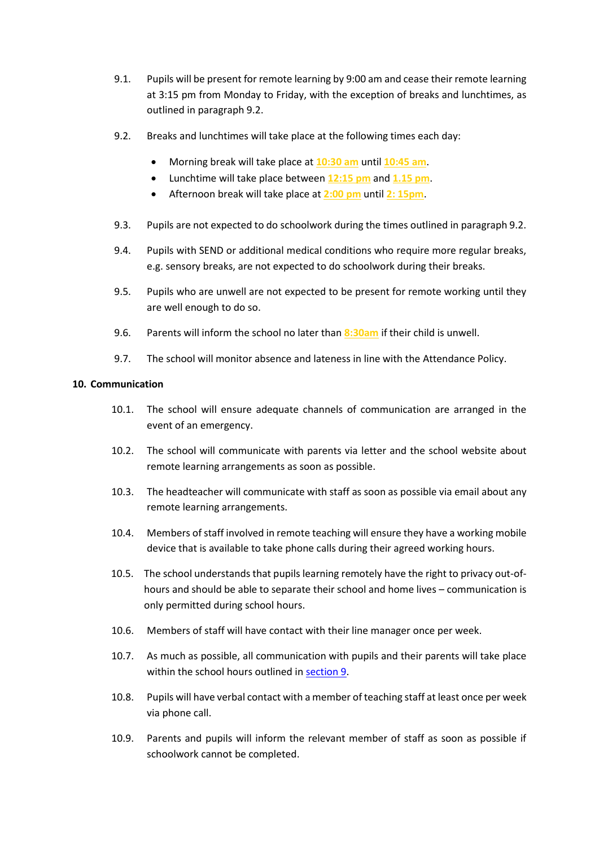- <span id="page-13-1"></span>9.1. Pupils will be present for remote learning by 9:00 am and cease their remote learning at 3:15 pm from Monday to Friday, with the exception of breaks and lunchtimes, as outlined in paragraph 9.2.
- <span id="page-13-2"></span>9.2. Breaks and lunchtimes will take place at the following times each day:
	- Morning break will take place at **10:30 am** until **10:45 am**.
	- Lunchtime will take place between **12:15 pm** and **1.15 pm**.
	- Afternoon break will take place at **2:00 pm** until **2: 15pm**.
- 9.3. Pupils are not expected to do schoolwork during the times outlined in paragraph 9.2.
- 9.4. Pupils with SEND or additional medical conditions who require more regular breaks, e.g. sensory breaks, are not expected to do schoolwork during their breaks.
- 9.5. Pupils who are unwell are not expected to be present for remote working until they are well enough to do so.
- <span id="page-13-3"></span>9.6. Parents will inform the school no later than **8:30am** if their child is unwell.
- 9.7. The school will monitor absence and lateness in line with the Attendance Policy.

### <span id="page-13-0"></span>**10. Communication**

- 10.1. The school will ensure adequate channels of communication are arranged in the event of an emergency.
- 10.2. The school will communicate with parents via letter and the school website about remote learning arrangements as soon as possible.
- 10.3. The headteacher will communicate with staff as soon as possible via email about any remote learning arrangements.
- 10.4. Members of staff involved in remote teaching will ensure they have a working mobile device that is available to take phone calls during their agreed working hours.
- 10.5. The school understands that pupils learning remotely have the right to privacy out-ofhours and should be able to separate their school and home lives – communication is only permitted during school hours.
- 10.6. Members of staff will have contact with their line manager once per week.
- 10.7. As much as possible, all communication with pupils and their parents will take place within the school hours outlined in [section 9.](#page-12-1)
- 10.8. Pupils will have verbal contact with a member of teaching staff at least once per week via phone call.
- 10.9. Parents and pupils will inform the relevant member of staff as soon as possible if schoolwork cannot be completed.